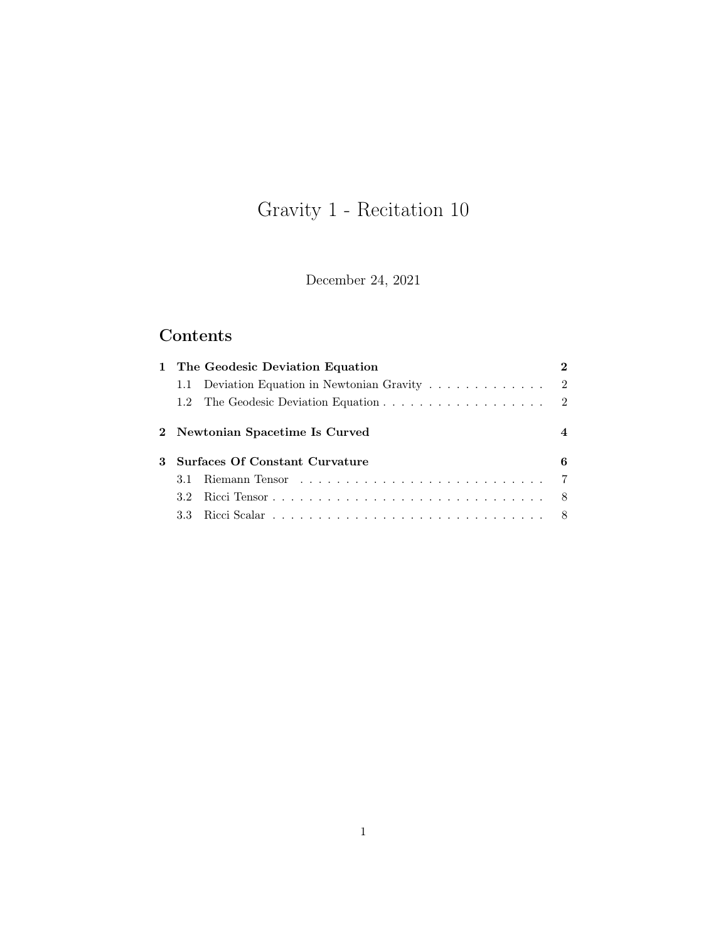# Gravity 1 - Recitation 10

December 24, 2021

## Contents

|   | 1 The Geodesic Deviation Equation |                                                                             |  |                |
|---|-----------------------------------|-----------------------------------------------------------------------------|--|----------------|
|   |                                   | 1.1 Deviation Equation in Newtonian Gravity $\ldots \ldots \ldots \ldots$ 2 |  |                |
|   |                                   |                                                                             |  |                |
|   | 2 Newtonian Spacetime Is Curved   |                                                                             |  | $\overline{4}$ |
| 3 | Surfaces Of Constant Curvature    |                                                                             |  | 6              |
|   | 3.1                               |                                                                             |  |                |
|   |                                   |                                                                             |  |                |
|   |                                   |                                                                             |  |                |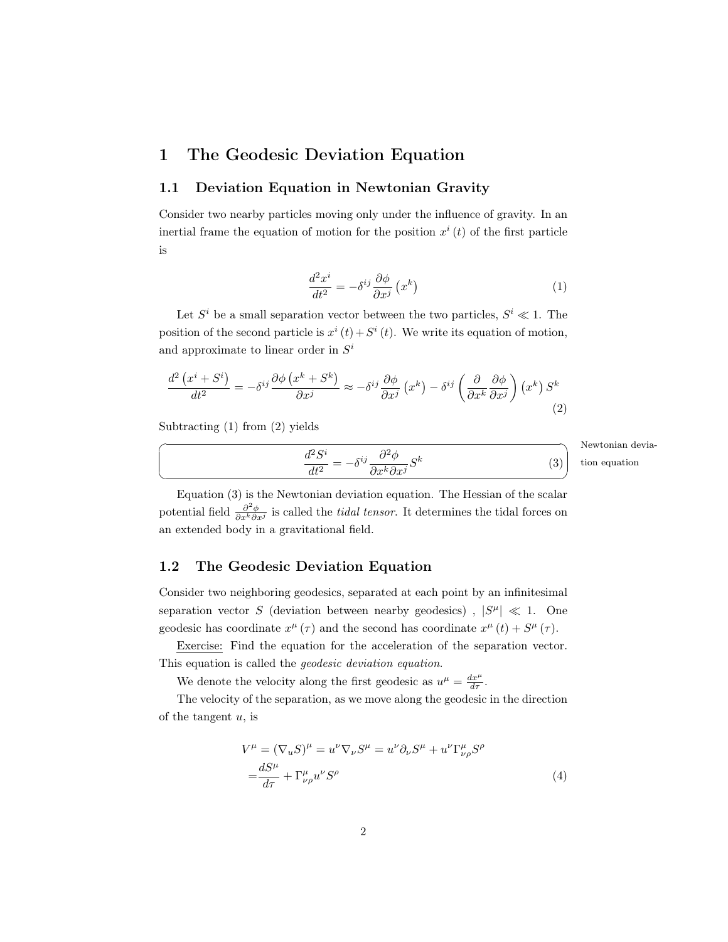## <span id="page-1-0"></span>1 The Geodesic Deviation Equation

#### <span id="page-1-1"></span>1.1 Deviation Equation in Newtonian Gravity

Consider two nearby particles moving only under the influence of gravity. In an inertial frame the equation of motion for the position  $x^{i}(t)$  of the first particle is

<span id="page-1-3"></span>
$$
\frac{d^2x^i}{dt^2} = -\delta^{ij}\frac{\partial\phi}{\partial x^j}\left(x^k\right) \tag{1}
$$

Let  $S^i$  be a small separation vector between the two particles,  $S^i \ll 1$ . The position of the second particle is  $x^{i}(t) + S^{i}(t)$ . We write its equation of motion, and approximate to linear order in  $S^i$ 

<span id="page-1-4"></span>
$$
\frac{d^2\left(x^i + S^i\right)}{dt^2} = -\delta^{ij}\frac{\partial\phi\left(x^k + S^k\right)}{\partial x^j} \approx -\delta^{ij}\frac{\partial\phi}{\partial x^j}\left(x^k\right) - \delta^{ij}\left(\frac{\partial}{\partial x^k}\frac{\partial\phi}{\partial x^j}\right)\left(x^k\right)S^k\tag{2}
$$

Subtracting [\(1\)](#page-1-3) from [\(2\)](#page-1-4) yields

☛

 $\searrow$ 

<span id="page-1-5"></span> $d^2S^i$  $\frac{d^2S^i}{dt^2} = -\delta^{ij}\frac{\partial^2\phi}{\partial x^k\partial x^j}$  $\frac{\partial \varphi}{\partial x^k \partial x^j} S^k$  Newtonian deviation equation

<span id="page-1-6"></span>✠

(3)

Equation [\(3\)](#page-1-5) is the Newtonian deviation equation. The Hessian of the scalar potential field  $\frac{\partial^2 \phi}{\partial x^k \partial y}$  $\frac{\partial^2 \phi}{\partial x^k \partial x^j}$  is called the *tidal tensor*. It determines the tidal forces on an extended body in a gravitational field.

#### <span id="page-1-2"></span>1.2 The Geodesic Deviation Equation

Consider two neighboring geodesics, separated at each point by an infinitesimal separation vector S (deviation between nearby geodesics),  $|S^{\mu}| \ll 1$ . One geodesic has coordinate  $x^{\mu}(\tau)$  and the second has coordinate  $x^{\mu}(t) + S^{\mu}(\tau)$ .

Exercise: Find the equation for the acceleration of the separation vector. This equation is called the geodesic deviation equation.

We denote the velocity along the first geodesic as  $u^{\mu} = \frac{dx^{\mu}}{d\tau}$ .

The velocity of the separation, as we move along the geodesic in the direction of the tangent  $u$ , is

$$
V^{\mu} = (\nabla_u S)^{\mu} = u^{\nu} \nabla_{\nu} S^{\mu} = u^{\nu} \partial_{\nu} S^{\mu} + u^{\nu} \Gamma^{\mu}_{\nu \rho} S^{\rho}
$$
  

$$
= \frac{dS^{\mu}}{d\tau} + \Gamma^{\mu}_{\nu \rho} u^{\nu} S^{\rho}
$$
 (4)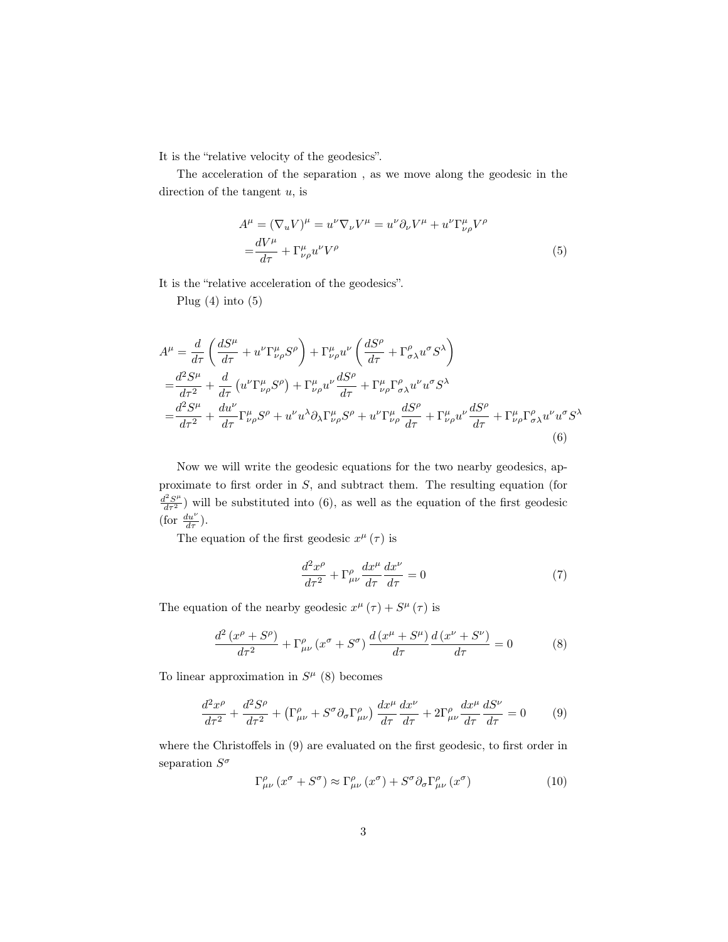It is the "relative velocity of the geodesics".

The acceleration of the separation , as we move along the geodesic in the direction of the tangent  $u$ , is

<span id="page-2-0"></span>
$$
A^{\mu} = (\nabla_u V)^{\mu} = u^{\nu} \nabla_{\nu} V^{\mu} = u^{\nu} \partial_{\nu} V^{\mu} + u^{\nu} \Gamma^{\mu}_{\nu \rho} V^{\rho}
$$
  

$$
= \frac{dV^{\mu}}{d\tau} + \Gamma^{\mu}_{\nu \rho} u^{\nu} V^{\rho}
$$
 (5)

It is the "relative acceleration of the geodesics".

Plug  $(4)$  into  $(5)$ 

$$
A^{\mu} = \frac{d}{d\tau} \left( \frac{dS^{\mu}}{d\tau} + u^{\nu} \Gamma^{\mu}_{\nu\rho} S^{\rho} \right) + \Gamma^{\mu}_{\nu\rho} u^{\nu} \left( \frac{dS^{\rho}}{d\tau} + \Gamma^{\rho}_{\sigma\lambda} u^{\sigma} S^{\lambda} \right)
$$
  
\n
$$
= \frac{d^{2}S^{\mu}}{d\tau^{2}} + \frac{d}{d\tau} \left( u^{\nu} \Gamma^{\mu}_{\nu\rho} S^{\rho} \right) + \Gamma^{\mu}_{\nu\rho} u^{\nu} \frac{dS^{\rho}}{d\tau} + \Gamma^{\mu}_{\nu\rho} \Gamma^{\rho}_{\sigma\lambda} u^{\nu} u^{\sigma} S^{\lambda}
$$
  
\n
$$
= \frac{d^{2}S^{\mu}}{d\tau^{2}} + \frac{du^{\nu}}{d\tau} \Gamma^{\mu}_{\nu\rho} S^{\rho} + u^{\nu} u^{\lambda} \partial_{\lambda} \Gamma^{\mu}_{\nu\rho} S^{\rho} + u^{\nu} \Gamma^{\mu}_{\nu\rho} \frac{dS^{\rho}}{d\tau} + \Gamma^{\mu}_{\nu\rho} u^{\nu} \frac{dS^{\rho}}{d\tau} + \Gamma^{\mu}_{\nu\rho} \Gamma^{\rho}_{\sigma\lambda} u^{\nu} u^{\sigma} S^{\lambda}
$$
  
\n(6)

Now we will write the geodesic equations for the two nearby geodesics, approximate to first order in S, and subtract them. The resulting equation (for  $\frac{d^2S^{\mu}}{dr^2}$ ) will be substituted into [\(6\)](#page-2-1), as well as the equation of the first geodesic (for  $\frac{du^{\nu}}{d\tau}$ ).

The equation of the first geodesic  $x^{\mu}(\tau)$  is

<span id="page-2-4"></span><span id="page-2-1"></span>
$$
\frac{d^2x^{\rho}}{d\tau^2} + \Gamma^{\rho}_{\mu\nu}\frac{dx^{\mu}}{d\tau}\frac{dx^{\nu}}{d\tau} = 0\tag{7}
$$

The equation of the nearby geodesic  $x^{\mu}(\tau) + S^{\mu}(\tau)$  is

<span id="page-2-2"></span>
$$
\frac{d^2\left(x^{\rho} + S^{\rho}\right)}{d\tau^2} + \Gamma^{\rho}_{\mu\nu}\left(x^{\sigma} + S^{\sigma}\right) \frac{d\left(x^{\mu} + S^{\mu}\right)}{d\tau} \frac{d\left(x^{\nu} + S^{\nu}\right)}{d\tau} = 0 \tag{8}
$$

To linear approximation in  $S^{\mu}$  [\(8\)](#page-2-2) becomes

<span id="page-2-3"></span>
$$
\frac{d^2x^{\rho}}{d\tau^2} + \frac{d^2S^{\rho}}{d\tau^2} + \left(\Gamma^{\rho}_{\mu\nu} + S^{\sigma}\partial_{\sigma}\Gamma^{\rho}_{\mu\nu}\right)\frac{dx^{\mu}}{d\tau}\frac{dx^{\nu}}{d\tau} + 2\Gamma^{\rho}_{\mu\nu}\frac{dx^{\mu}}{d\tau}\frac{dS^{\nu}}{d\tau} = 0\tag{9}
$$

where the Christoffels in [\(9\)](#page-2-3) are evaluated on the first geodesic, to first order in separation  $S^{\sigma}$ 

$$
\Gamma^{\rho}_{\mu\nu}(x^{\sigma} + S^{\sigma}) \approx \Gamma^{\rho}_{\mu\nu}(x^{\sigma}) + S^{\sigma} \partial_{\sigma} \Gamma^{\rho}_{\mu\nu}(x^{\sigma})
$$
\n(10)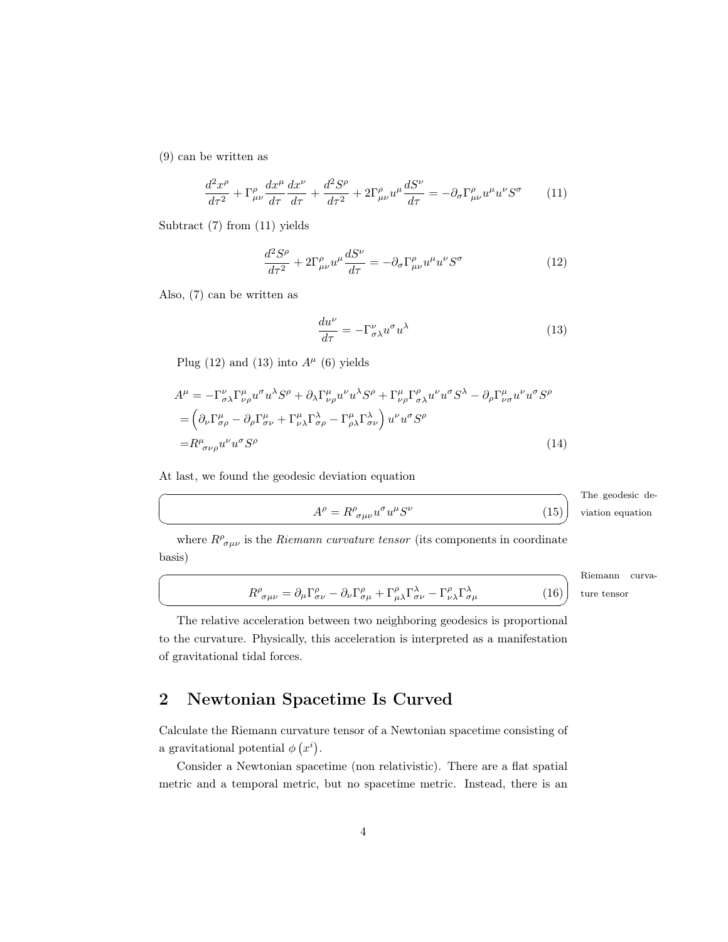[\(9\)](#page-2-3) can be written as

<span id="page-3-1"></span>
$$
\frac{d^2x^{\rho}}{d\tau^2} + \Gamma^{\rho}_{\mu\nu}\frac{dx^{\mu}}{d\tau}\frac{dx^{\nu}}{d\tau} + \frac{d^2S^{\rho}}{d\tau^2} + 2\Gamma^{\rho}_{\mu\nu}u^{\mu}\frac{dS^{\nu}}{d\tau} = -\partial_{\sigma}\Gamma^{\rho}_{\mu\nu}u^{\mu}u^{\nu}S^{\sigma} \tag{11}
$$

Subtract [\(7\)](#page-2-4) from [\(11\)](#page-3-1) yields

<span id="page-3-2"></span>
$$
\frac{d^2S^{\rho}}{d\tau^2} + 2\Gamma^{\rho}_{\mu\nu}u^{\mu}\frac{dS^{\nu}}{d\tau} = -\partial_{\sigma}\Gamma^{\rho}_{\mu\nu}u^{\mu}u^{\nu}S^{\sigma}
$$
\n(12)

Also, [\(7\)](#page-2-4) can be written as

☛

 $\searrow$ 

☛

 $\searrow$ 

<span id="page-3-3"></span>
$$
\frac{du^{\nu}}{d\tau} = -\Gamma^{\nu}_{\sigma\lambda}u^{\sigma}u^{\lambda} \tag{13}
$$

Plug [\(12\)](#page-3-2) and [\(13\)](#page-3-3) into  $A^{\mu}$  [\(6\)](#page-2-1) yields

$$
A^{\mu} = -\Gamma^{\nu}_{\sigma\lambda}\Gamma^{\mu}_{\nu\rho}u^{\sigma}u^{\lambda}S^{\rho} + \partial_{\lambda}\Gamma^{\mu}_{\nu\rho}u^{\nu}u^{\lambda}S^{\rho} + \Gamma^{\mu}_{\nu\rho}\Gamma^{\rho}_{\sigma\lambda}u^{\nu}u^{\sigma}S^{\lambda} - \partial_{\rho}\Gamma^{\mu}_{\nu\sigma}u^{\nu}u^{\sigma}S^{\rho}
$$
  
\n
$$
= \left(\partial_{\nu}\Gamma^{\mu}_{\sigma\rho} - \partial_{\rho}\Gamma^{\mu}_{\sigma\nu} + \Gamma^{\mu}_{\nu\lambda}\Gamma^{\lambda}_{\sigma\rho} - \Gamma^{\mu}_{\rho\lambda}\Gamma^{\lambda}_{\sigma\nu}\right)u^{\nu}u^{\sigma}S^{\rho}
$$
  
\n
$$
= R^{\mu}_{\sigma\nu\rho}u^{\nu}u^{\sigma}S^{\rho}
$$
\n(14)

At last, we found the geodesic deviation equation

The geodesic de-✠ viation equation

(15)

 $(16)$ 

✠

$$
A^{\rho} = R^{\rho}_{\ \sigma\mu\nu} u^{\sigma} u^{\mu} S^{\nu}
$$

where  $R^{\rho}_{\ \sigma\mu\nu}$  is the *Riemann curvature tensor* (its components in coordinate basis)

> Riemann curvature tensor

<span id="page-3-4"></span>
$$
R^{\rho}_{\ \sigma\mu\nu}=\partial_{\mu}\Gamma^{\rho}_{\sigma\nu}-\partial_{\nu}\Gamma^{\rho}_{\sigma\mu}+\Gamma^{\rho}_{\mu\lambda}\Gamma^{\lambda}_{\sigma\nu}-\Gamma^{\rho}_{\nu\lambda}\Gamma^{\lambda}_{\sigma\mu}
$$

The relative acceleration between two neighboring geodesics is proportional to the curvature. Physically, this acceleration is interpreted as a manifestation of gravitational tidal forces.

## <span id="page-3-0"></span>2 Newtonian Spacetime Is Curved

Calculate the Riemann curvature tensor of a Newtonian spacetime consisting of a gravitational potential  $\phi(x^i)$ .

Consider a Newtonian spacetime (non relativistic). There are a flat spatial metric and a temporal metric, but no spacetime metric. Instead, there is an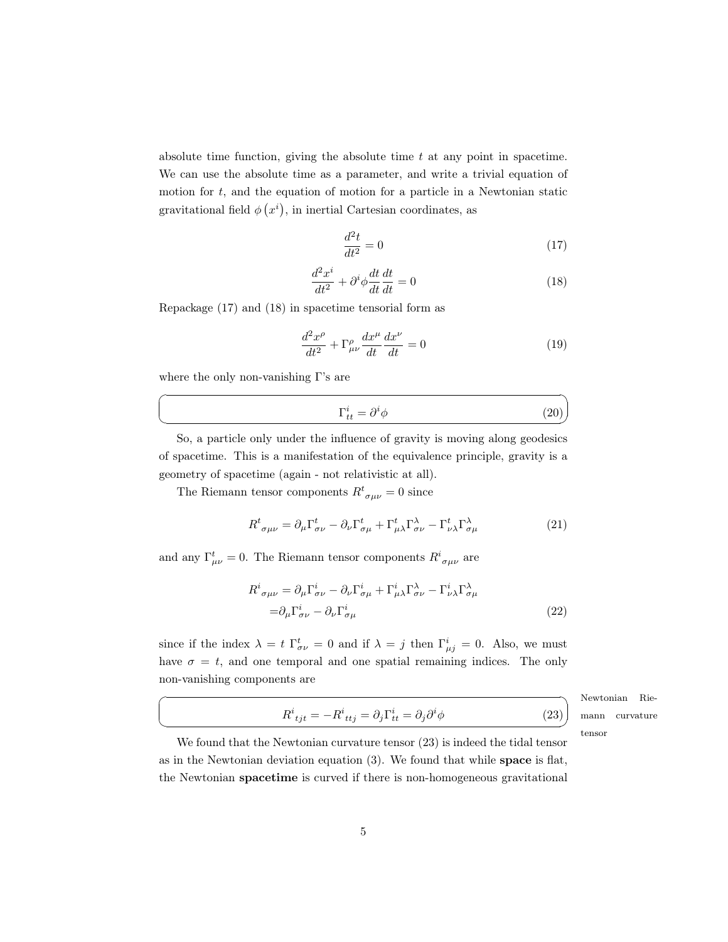absolute time function, giving the absolute time  $t$  at any point in spacetime. We can use the absolute time as a parameter, and write a trivial equation of motion for  $t$ , and the equation of motion for a particle in a Newtonian static gravitational field  $\phi(x^i)$ , in inertial Cartesian coordinates, as

<span id="page-4-0"></span>
$$
\frac{d^2t}{dt^2} = 0\tag{17}
$$

<span id="page-4-1"></span>
$$
\frac{d^2x^i}{dt^2} + \partial^i \phi \frac{dt}{dt} \frac{dt}{dt} = 0
$$
\n(18)

Repackage [\(17\)](#page-4-0) and [\(18\)](#page-4-1) in spacetime tensorial form as

$$
\frac{d^2x^{\rho}}{dt^2} + \Gamma^{\rho}_{\mu\nu}\frac{dx^{\mu}}{dt}\frac{dx^{\nu}}{dt} = 0
$$
\n(19)

where the only non-vanishing  $\Gamma$ 's are

☛

 $\searrow$ 

 $\overline{a}$ 

 $\searrow$ 

$$
\Gamma_{tt}^i = \partial^i \phi \tag{20}
$$

So, a particle only under the influence of gravity is moving along geodesics of spacetime. This is a manifestation of the equivalence principle, gravity is a geometry of spacetime (again - not relativistic at all).

The Riemann tensor components  $R^t_{\sigma\mu\nu} = 0$  since

$$
R^{t}{}_{\sigma\mu\nu} = \partial_{\mu}\Gamma^{t}_{\sigma\nu} - \partial_{\nu}\Gamma^{t}_{\sigma\mu} + \Gamma^{t}_{\mu\lambda}\Gamma^{ \lambda}_{\sigma\nu} - \Gamma^{t}_{\nu\lambda}\Gamma^{\lambda}_{\sigma\mu}
$$
\n(21)

and any  $\Gamma^t_{\mu\nu} = 0$ . The Riemann tensor components  $R^i{}_{\sigma\mu\nu}$  are

$$
R^{i}{}_{\sigma\mu\nu} = \partial_{\mu}\Gamma^{i}{}_{\sigma\nu} - \partial_{\nu}\Gamma^{i}{}_{\sigma\mu} + \Gamma^{i}{}_{\mu\lambda}\Gamma^{ \lambda}{}_{\sigma\nu} - \Gamma^{i}{}_{\nu\lambda}\Gamma^{ \lambda}{}_{\sigma\mu}
$$

$$
= \partial_{\mu}\Gamma^{i}{}_{\sigma\nu} - \partial_{\nu}\Gamma^{i}{}_{\sigma\mu} \tag{22}
$$

since if the index  $\lambda = t \Gamma^t_{\sigma \nu} = 0$  and if  $\lambda = j$  then  $\Gamma^i_{\mu j} = 0$ . Also, we must have  $\sigma = t$ , and one temporal and one spatial remaining indices. The only non-vanishing components are

> Newtonian Riemann curvature tensor

 $^{\prime}$ 

 $(23)$ 

✟

<span id="page-4-2"></span>
$$
R^i_{\phantom{i}tjt}=-R^i_{\phantom{i}ttj}=\partial_j\Gamma^i_{tt}=\partial_j\partial^i\phi
$$

We found that the Newtonian curvature tensor [\(23\)](#page-4-2) is indeed the tidal tensor as in the Newtonian deviation equation [\(3\)](#page-1-5). We found that while space is flat, the Newtonian spacetime is curved if there is non-homogeneous gravitational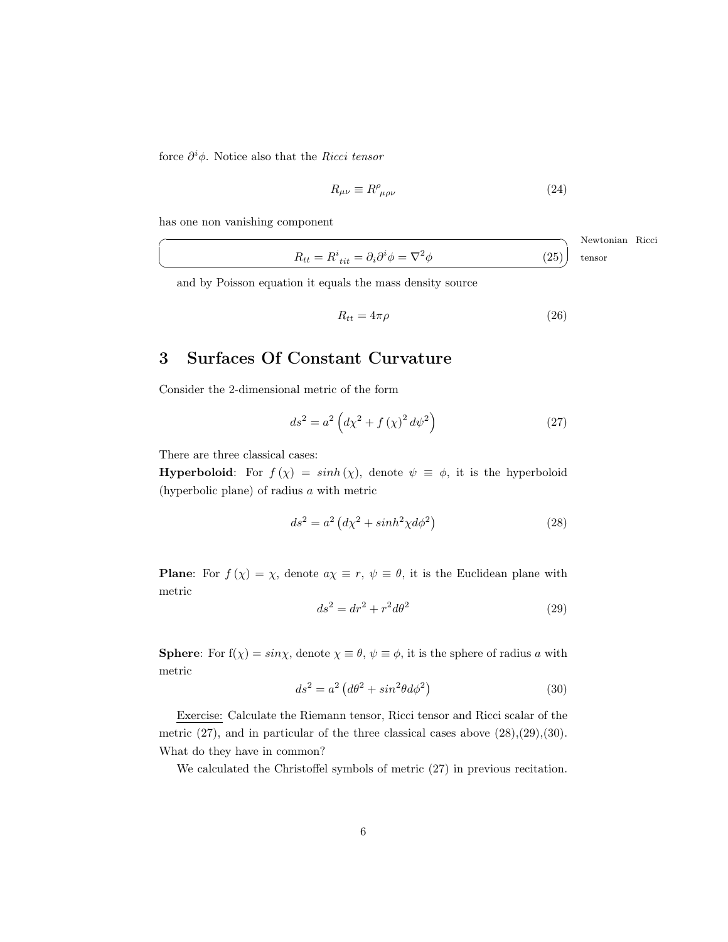force  $\partial^i \phi$ . Notice also that the Ricci tensor

$$
R_{\mu\nu} \equiv R^{\rho}_{\ \mu\rho\nu} \tag{24}
$$

has one non vanishing component

 $\overline{a}$  $\searrow$ Newtonian Ricci  $R_{tt} = R^i_{\;tit} = \partial_i \partial^i \phi = \nabla^2 \phi$  (25) tensor

and by Poisson equation it equals the mass density source

$$
R_{tt} = 4\pi\rho \tag{26}
$$

## <span id="page-5-0"></span>3 Surfaces Of Constant Curvature

Consider the 2-dimensional metric of the form

<span id="page-5-1"></span>
$$
ds^{2} = a^{2} \left( d\chi^{2} + f\left(\chi\right)^{2} d\psi^{2} \right)
$$
 (27)

There are three classical cases:

**Hyperboloid:** For  $f(\chi) = \sinh(\chi)$ , denote  $\psi \equiv \phi$ , it is the hyperboloid (hyperbolic plane) of radius a with metric

<span id="page-5-2"></span>
$$
ds^2 = a^2 \left(d\chi^2 + \sinh^2\chi d\phi^2\right) \tag{28}
$$

**Plane:** For  $f(\chi) = \chi$ , denote  $a\chi \equiv r$ ,  $\psi \equiv \theta$ , it is the Euclidean plane with metric

<span id="page-5-3"></span>
$$
ds^2 = dr^2 + r^2 d\theta^2 \tag{29}
$$

**Sphere:** For  $f(\chi) = \sin \chi$ , denote  $\chi \equiv \theta$ ,  $\psi \equiv \phi$ , it is the sphere of radius a with metric

<span id="page-5-4"></span>
$$
ds^2 = a^2 \left(d\theta^2 + \sin^2\theta d\phi^2\right) \tag{30}
$$

Exercise: Calculate the Riemann tensor, Ricci tensor and Ricci scalar of the metric  $(27)$ , and in particular of the three classical cases above  $(28)$ , $(29)$ , $(30)$ . What do they have in common?

We calculated the Christoffel symbols of metric [\(27\)](#page-5-1) in previous recitation.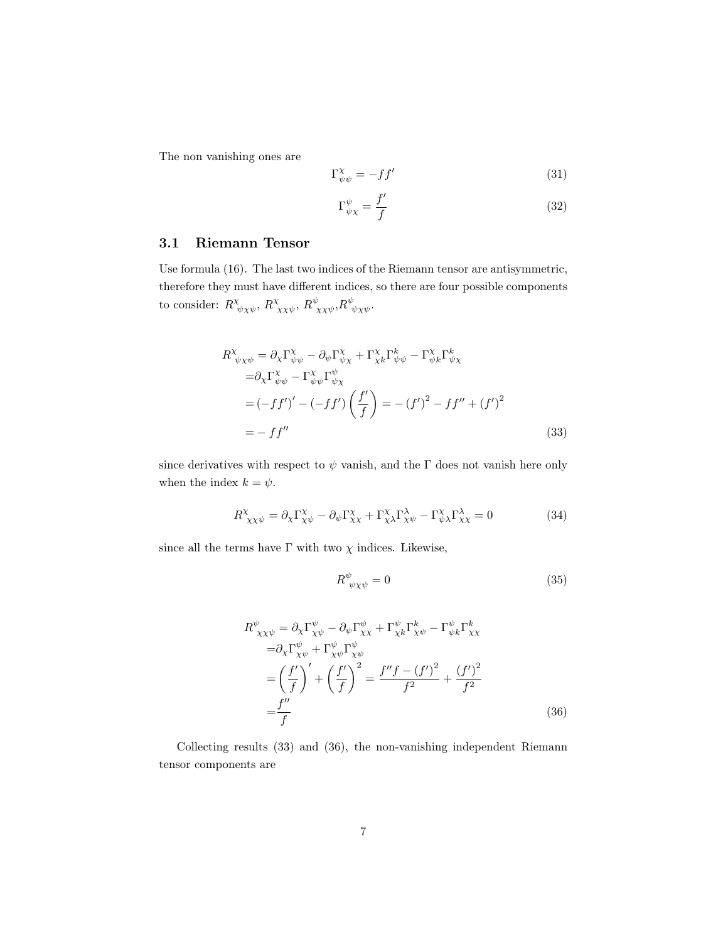The non vanishing ones are

$$
\Gamma_{\psi\psi}^{\chi} = -f f' \tag{31}
$$

$$
\Gamma^{\psi}_{\psi\chi} = \frac{f'}{f} \tag{32}
$$

### <span id="page-6-0"></span>3.1 Riemann Tensor

Use formula [\(16\)](#page-3-4). The last two indices of the Riemann tensor are antisymmetric, therefore they must have different indices, so there are four possible components to consider:  $R^{\chi}_{\psi\chi\psi}$ ,  $R^{\chi}_{\chi\chi\psi}$ ,  $R^{\psi}_{\chi\chi\psi}$ ,  $R^{\psi}_{\psi\chi\psi}$ .

$$
R^{\chi}_{\psi\chi\psi} = \partial_{\chi}\Gamma^{\chi}_{\psi\psi} - \partial_{\psi}\Gamma^{\chi}_{\psi\chi} + \Gamma^{\chi}_{\chi k}\Gamma^k_{\psi\psi} - \Gamma^{\chi}_{\psi k}\Gamma^k_{\psi\chi}
$$
  
\n
$$
= \partial_{\chi}\Gamma^{\chi}_{\psi\psi} - \Gamma^{\chi}_{\psi\psi}\Gamma^{\psi}_{\psi\chi}
$$
  
\n
$$
= (-ff')' - (-ff')\left(\frac{f'}{f}\right) = -(f')^2 - ff'' + (f')^2
$$
  
\n
$$
= -ff''
$$
\n(33)

since derivatives with respect to  $\psi$  vanish, and the Γ does not vanish here only when the index  $k = \psi$ .

$$
R^{\chi}_{\chi\chi\psi} = \partial_{\chi}\Gamma^{\chi}_{\chi\psi} - \partial_{\psi}\Gamma^{\chi}_{\chi\chi} + \Gamma^{\chi}_{\chi\lambda}\Gamma^{\lambda}_{\chi\psi} - \Gamma^{\chi}_{\psi\lambda}\Gamma^{\lambda}_{\chi\chi} = 0 \tag{34}
$$

since all the terms have  $\Gamma$  with two  $\chi$  indices. Likewise,

<span id="page-6-2"></span><span id="page-6-1"></span>
$$
R^{\psi}_{\ \psi\chi\psi} = 0 \tag{35}
$$

$$
R^{\psi}_{\chi\chi\psi} = \partial_{\chi}\Gamma^{\psi}_{\chi\psi} - \partial_{\psi}\Gamma^{\psi}_{\chi\chi} + \Gamma^{\psi}_{\chi k}\Gamma^k_{\chi\psi} - \Gamma^{\psi}_{\psi k}\Gamma^k_{\chi\chi}
$$
  
\n
$$
= \partial_{\chi}\Gamma^{\psi}_{\chi\psi} + \Gamma^{\psi}_{\chi\psi}\Gamma^{\psi}_{\chi\psi}
$$
  
\n
$$
= \left(\frac{f'}{f}\right)' + \left(\frac{f'}{f}\right)^2 = \frac{f''f - (f')^2}{f^2} + \frac{(f')^2}{f^2}
$$
  
\n
$$
= \frac{f''}{f}
$$
 (36)

Collecting results [\(33\)](#page-6-1) and [\(36\)](#page-6-2), the non-vanishing independent Riemann tensor components are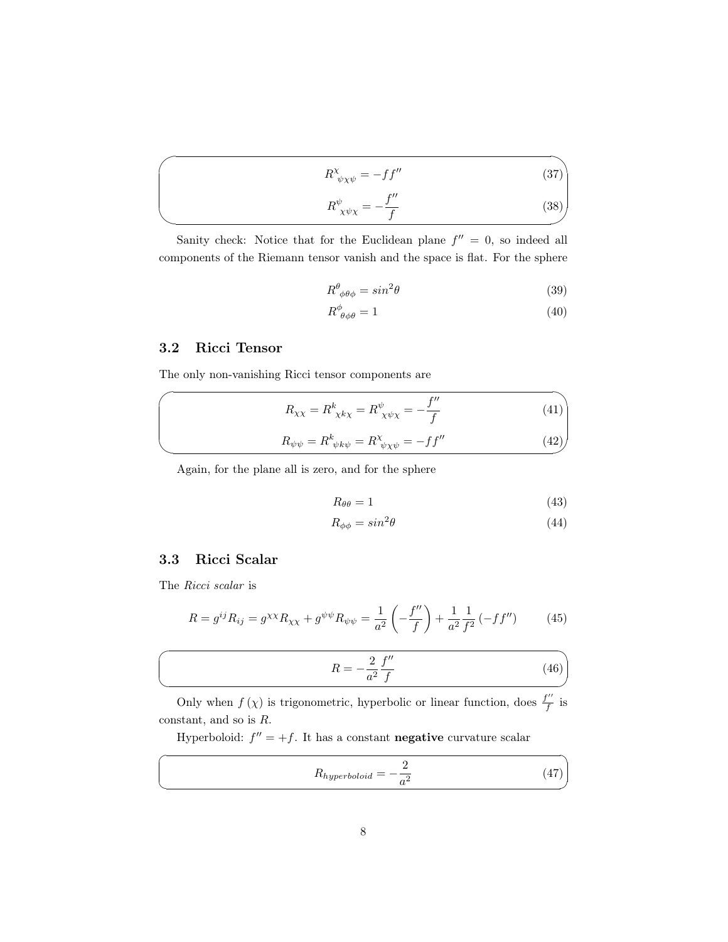$$
R^{\chi}_{\psi\chi\psi} = -ff'' \tag{37}
$$

$$
R^{\psi}_{\ \chi\psi\chi} = -\frac{f''}{f} \tag{38}
$$

Sanity check: Notice that for the Euclidean plane  $f'' = 0$ , so indeed all components of the Riemann tensor vanish and the space is flat. For the sphere

$$
R^{\theta}_{\ \phi\theta\phi} = \sin^2\theta \tag{39}
$$

$$
R^{\phi}_{\ \theta\phi\theta} = 1\tag{40}
$$

#### <span id="page-7-0"></span>3.2 Ricci Tensor

 $\overline{\phantom{0}}$ 

 $\overline{\phantom{a}}$ 

 $\overline{\phantom{0}}$ 

✖

 $\sqrt{2}$ 

✍

 $\overline{a}$ 

 $\searrow$ 

The only non-vanishing Ricci tensor components are

$$
R_{\chi\chi} = R^k_{\ \chi k\chi} = R^\psi_{\ \chi\psi\chi} = -\frac{f''}{f} \tag{41}
$$

$$
R_{\psi\psi} = R^k_{\psi k\psi} = R^{\chi}_{\psi\chi\psi} = -f f'' \tag{42}
$$

Again, for the plane all is zero, and for the sphere

$$
R_{\theta\theta} = 1\tag{43}
$$

$$
R_{\phi\phi} = \sin^2\theta \tag{44}
$$

## <span id="page-7-1"></span>3.3 Ricci Scalar

The Ricci scalar is

$$
R = g^{ij} R_{ij} = g^{\chi\chi} R_{\chi\chi} + g^{\psi\psi} R_{\psi\psi} = \frac{1}{a^2} \left( -\frac{f''}{f} \right) + \frac{1}{a^2} \frac{1}{f^2} \left( -ff'' \right) \tag{45}
$$

$$
R = -\frac{2}{a^2} \frac{f''}{f} \tag{46}
$$

Only when  $f(\chi)$  is trigonometric, hyperbolic or linear function, does  $\frac{f''}{f}$  $\frac{1}{f}$  is constant, and so is R.

Hyperboloid:  $f'' = +f$ . It has a constant **negative** curvature scalar

$$
R_{hyperboloid} = -\frac{2}{a^2} \tag{47}
$$

✟

✠